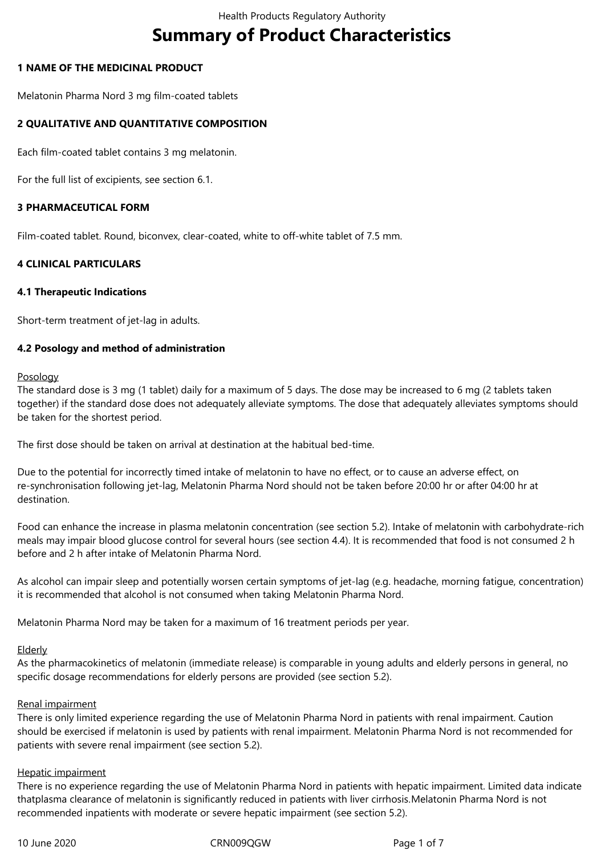# **Summary of Product Characteristics**

#### **1 NAME OF THE MEDICINAL PRODUCT**

Melatonin Pharma Nord 3 mg film-coated tablets

## **2 QUALITATIVE AND QUANTITATIVE COMPOSITION**

Each film-coated tablet contains 3 mg melatonin.

For the full list of excipients, see section 6.1.

## **3 PHARMACEUTICAL FORM**

Film-coated tablet. Round, biconvex, clear-coated, white to off-white tablet of 7.5 mm.

## **4 CLINICAL PARTICULARS**

#### **4.1 Therapeutic Indications**

Short-term treatment of jet-lag in adults.

## **4.2 Posology and method of administration**

#### Posology

The standard dose is 3 mg (1 tablet) daily for a maximum of 5 days. The dose may be increased to 6 mg (2 tablets taken together) if the standard dose does not adequately alleviate symptoms. The dose that adequately alleviates symptoms should be taken for the shortest period.

The first dose should be taken on arrival at destination at the habitual bed-time.

Due to the potential for incorrectly timed intake of melatonin to have no effect, or to cause an adverse effect, on re-synchronisation following jet-lag, Melatonin Pharma Nord should not be taken before 20:00 hr or after 04:00 hr at destination.

Food can enhance the increase in plasma melatonin concentration (see section 5.2). Intake of melatonin with carbohydrate-rich meals may impair blood glucose control for several hours (see section 4.4). It is recommended that food is not consumed 2 h before and 2 h after intake of Melatonin Pharma Nord.

As alcohol can impair sleep and potentially worsen certain symptoms of jet-lag (e.g. headache, morning fatigue, concentration) it is recommended that alcohol is not consumed when taking Melatonin Pharma Nord.

Melatonin Pharma Nord may be taken for a maximum of 16 treatment periods per year.

# Elderly

As the pharmacokinetics of melatonin (immediate release) is comparable in young adults and elderly persons in general, no specific dosage recommendations for elderly persons are provided (see section 5.2).

#### Renal impairment

There is only limited experience regarding the use of Melatonin Pharma Nord in patients with renal impairment. Caution should be exercised if melatonin is used by patients with renal impairment. Melatonin Pharma Nord is not recommended for patients with severe renal impairment (see section 5.2).

#### Hepatic impairment

There is no experience regarding the use of Melatonin Pharma Nord in patients with hepatic impairment. Limited data indicate thatplasma clearance of melatonin is significantly reduced in patients with liver cirrhosis*.*Melatonin Pharma Nord is not recommended inpatients with moderate or severe hepatic impairment (see section 5.2).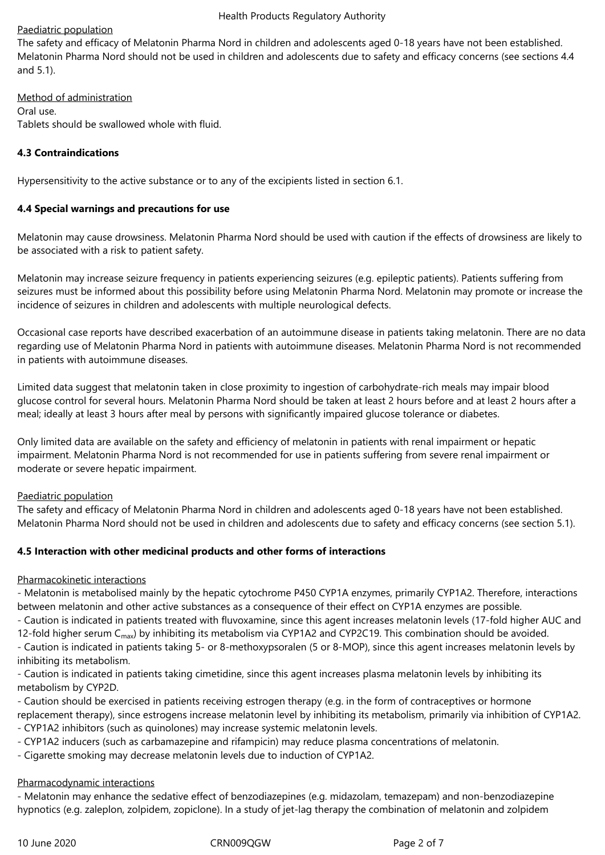## Paediatric population

The safety and efficacy of Melatonin Pharma Nord in children and adolescents aged 0-18 years have not been established. Melatonin Pharma Nord should not be used in children and adolescents due to safety and efficacy concerns (see sections 4.4 and 5.1).

Method of administration Oral use. Tablets should be swallowed whole with fluid.

## **4.3 Contraindications**

Hypersensitivity to the active substance or to any of the excipients listed in section 6.1.

## **4.4 Special warnings and precautions for use**

Melatonin may cause drowsiness. Melatonin Pharma Nord should be used with caution if the effects of drowsiness are likely to be associated with a risk to patient safety.

Melatonin may increase seizure frequency in patients experiencing seizures (e.g. epileptic patients). Patients suffering from seizures must be informed about this possibility before using Melatonin Pharma Nord. Melatonin may promote or increase the incidence of seizures in children and adolescents with multiple neurological defects.

Occasional case reports have described exacerbation of an autoimmune disease in patients taking melatonin. There are no data regarding use of Melatonin Pharma Nord in patients with autoimmune diseases. Melatonin Pharma Nord is not recommended in patients with autoimmune diseases.

Limited data suggest that melatonin taken in close proximity to ingestion of carbohydrate-rich meals may impair blood glucose control for several hours. Melatonin Pharma Nord should be taken at least 2 hours before and at least 2 hours after a meal; ideally at least 3 hours after meal by persons with significantly impaired glucose tolerance or diabetes.

Only limited data are available on the safety and efficiency of melatonin in patients with renal impairment or hepatic impairment. Melatonin Pharma Nord is not recommended for use in patients suffering from severe renal impairment or moderate or severe hepatic impairment.

#### Paediatric population

The safety and efficacy of Melatonin Pharma Nord in children and adolescents aged 0‑18 years have not been established. Melatonin Pharma Nord should not be used in children and adolescents due to safety and efficacy concerns (see section 5.1).

## **4.5 Interaction with other medicinal products and other forms of interactions**

#### Pharmacokinetic interactions

- Melatonin is metabolised mainly by the hepatic cytochrome P450 CYP1A enzymes, primarily CYP1A2. Therefore, interactions between melatonin and other active substances as a consequence of their effect on CYP1A enzymes are possible. - Caution is indicated in patients treated with fluvoxamine, since this agent increases melatonin levels (17-fold higher AUC and

12-fold higher serum C<sub>max</sub>) by inhibiting its metabolism via CYP1A2 and CYP2C19. This combination should be avoided.

- Caution is indicated in patients taking 5- or 8-methoxypsoralen (5 or 8-MOP), since this agent increases melatonin levels by inhibiting its metabolism.

- Caution is indicated in patients taking cimetidine, since this agent increases plasma melatonin levels by inhibiting its metabolism by CYP2D.

- Caution should be exercised in patients receiving estrogen therapy (e.g. in the form of contraceptives or hormone replacement therapy), since estrogens increase melatonin level by inhibiting its metabolism, primarily via inhibition of CYP1A2.
- CYP1A2 inhibitors (such as quinolones) may increase systemic melatonin levels.
- CYP1A2 inducers (such as carbamazepine and rifampicin) may reduce plasma concentrations of melatonin.
- Cigarette smoking may decrease melatonin levels due to induction of CYP1A2.

#### Pharmacodynamic interactions

- Melatonin may enhance the sedative effect of benzodiazepines (e.g. midazolam, temazepam) and non-benzodiazepine hypnotics (e.g. zaleplon, zolpidem, zopiclone). In a study of jet-lag therapy the combination of melatonin and zolpidem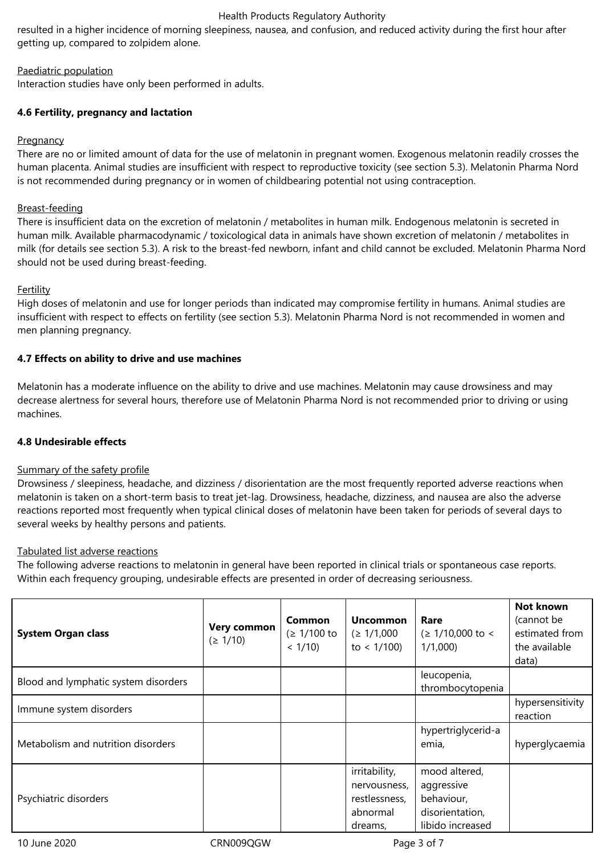#### Health Products Regulatory Authority

resulted in a higher incidence of morning sleepiness, nausea, and confusion, and reduced activity during the first hour after getting up, compared to zolpidem alone.

## Paediatric population

Interaction studies have only been performed in adults.

## **4.6 Fertility, pregnancy and lactation**

#### **Pregnancy**

There are no or limited amount of data for the use of melatonin in pregnant women. Exogenous melatonin readily crosses the human placenta. Animal studies are insufficient with respect to reproductive toxicity (see section 5.3). Melatonin Pharma Nord is not recommended during pregnancy or in women of childbearing potential not using contraception.

#### Breast-feeding

There is insufficient data on the excretion of melatonin / metabolites in human milk. Endogenous melatonin is secreted in human milk. Available pharmacodynamic / toxicological data in animals have shown excretion of melatonin / metabolites in milk (for details see section 5.3). A risk to the breast-fed newborn, infant and child cannot be excluded. Melatonin Pharma Nord should not be used during breast-feeding.

## Fertility

High doses of melatonin and use for longer periods than indicated may compromise fertility in humans. Animal studies are insufficient with respect to effects on fertility (see section 5.3). Melatonin Pharma Nord is not recommended in women and men planning pregnancy.

## **4.7 Effects on ability to drive and use machines**

Melatonin has a moderate influence on the ability to drive and use machines. Melatonin may cause drowsiness and may decrease alertness for several hours, therefore use of Melatonin Pharma Nord is not recommended prior to driving or using machines.

#### **4.8 Undesirable effects**

#### Summary of the safety profile

Drowsiness / sleepiness, headache, and dizziness / disorientation are the most frequently reported adverse reactions when melatonin is taken on a short-term basis to treat jet-lag. Drowsiness, headache, dizziness, and nausea are also the adverse reactions reported most frequently when typical clinical doses of melatonin have been taken for periods of several days to several weeks by healthy persons and patients.

#### Tabulated list adverse reactions

The following adverse reactions to melatonin in general have been reported in clinical trials or spontaneous case reports. Within each frequency grouping, undesirable effects are presented in order of decreasing seriousness.

| <b>System Organ class</b>            | <b>Very common</b><br>$( \geq 1/10 )$ | <b>Common</b><br>$( \geq 1/100 \text{ to }$<br>$< 1/10$ ) | <b>Uncommon</b><br>$( \geq 1/1,000$<br>to $< 1/100$ )                 | Rare<br>$( \geq 1/10,000$ to <<br>1/1,000                                        | <b>Not known</b><br>(cannot be<br>estimated from<br>the available<br>data) |
|--------------------------------------|---------------------------------------|-----------------------------------------------------------|-----------------------------------------------------------------------|----------------------------------------------------------------------------------|----------------------------------------------------------------------------|
| Blood and lymphatic system disorders |                                       |                                                           |                                                                       | leucopenia,<br>thrombocytopenia                                                  |                                                                            |
| Immune system disorders              |                                       |                                                           |                                                                       |                                                                                  | hypersensitivity<br>reaction                                               |
| Metabolism and nutrition disorders   |                                       |                                                           |                                                                       | hypertriglycerid-a<br>emia,                                                      | hyperglycaemia                                                             |
| Psychiatric disorders                |                                       |                                                           | irritability,<br>nervousness,<br>restlessness,<br>abnormal<br>dreams, | mood altered,<br>aggressive<br>behaviour,<br>disorientation,<br>libido increased |                                                                            |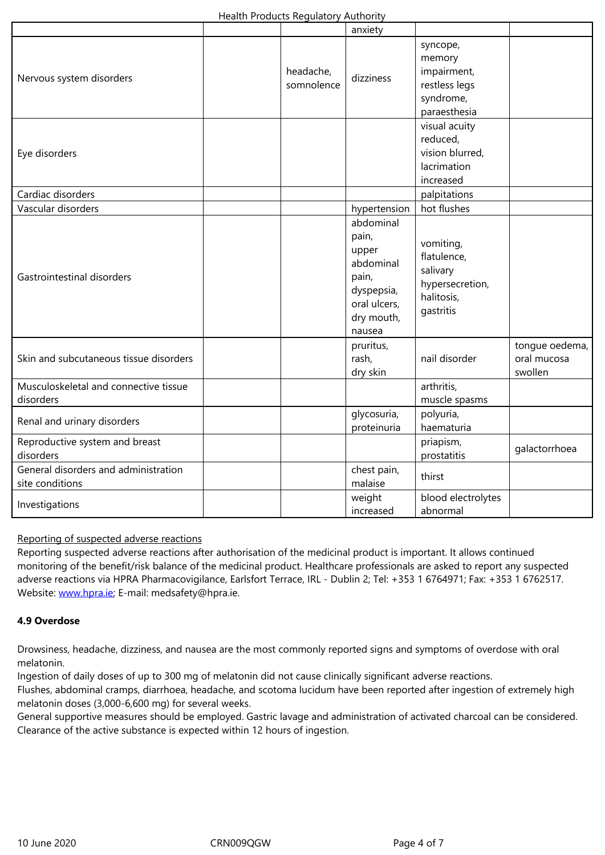| Nervous system disorders<br>Eye disorders               | headache,<br>somnolence | dizziness                                                                                               | memory<br>impairment,<br>restless legs<br>syndrome,<br>paraesthesia<br>visual acuity<br>reduced,<br>vision blurred,<br>lacrimation<br>increased |                                          |
|---------------------------------------------------------|-------------------------|---------------------------------------------------------------------------------------------------------|-------------------------------------------------------------------------------------------------------------------------------------------------|------------------------------------------|
| Cardiac disorders                                       |                         |                                                                                                         | palpitations                                                                                                                                    |                                          |
| Vascular disorders                                      |                         | hypertension                                                                                            | hot flushes                                                                                                                                     |                                          |
| Gastrointestinal disorders                              |                         | abdominal<br>pain,<br>upper<br>abdominal<br>pain,<br>dyspepsia,<br>oral ulcers,<br>dry mouth,<br>nausea | vomiting,<br>flatulence,<br>salivary<br>hypersecretion,<br>halitosis,<br>gastritis                                                              |                                          |
| Skin and subcutaneous tissue disorders                  |                         | pruritus,<br>rash,<br>dry skin                                                                          | nail disorder                                                                                                                                   | tongue oedema,<br>oral mucosa<br>swollen |
| Musculoskeletal and connective tissue<br>disorders      |                         |                                                                                                         | arthritis,<br>muscle spasms                                                                                                                     |                                          |
| Renal and urinary disorders                             |                         | glycosuria,<br>proteinuria                                                                              | polyuria,<br>haematuria                                                                                                                         |                                          |
| Reproductive system and breast<br>disorders             |                         |                                                                                                         | priapism,<br>prostatitis                                                                                                                        | galactorrhoea                            |
| General disorders and administration<br>site conditions |                         | chest pain,<br>malaise                                                                                  | thirst                                                                                                                                          |                                          |
| Investigations                                          |                         | weight<br>increased                                                                                     | blood electrolytes<br>abnormal                                                                                                                  |                                          |

## Reporting of suspected adverse reactions

Reporting suspected adverse reactions after authorisation of the medicinal product is important. It allows continued monitoring of the benefit/risk balance of the medicinal product. Healthcare professionals are asked to report any suspected adverse reactions via HPRA Pharmacovigilance, Earlsfort Terrace, IRL - Dublin 2; Tel: +353 1 6764971; Fax: +353 1 6762517. Website: www.hpra.ie; E-mail: medsafety@hpra.ie.

#### **4.9 Overdose**

Drowsin[ess, headache](http://www.hpra.ie/), dizziness, and nausea are the most commonly reported signs and symptoms of overdose with oral melatonin.

Ingestion of daily doses of up to 300 mg of melatonin did not cause clinically significant adverse reactions.

Flushes, abdominal cramps, diarrhoea, headache, and scotoma lucidum have been reported after ingestion of extremely high melatonin doses (3,000-6,600 mg) for several weeks.

General supportive measures should be employed. Gastric lavage and administration of activated charcoal can be considered. Clearance of the active substance is expected within 12 hours of ingestion.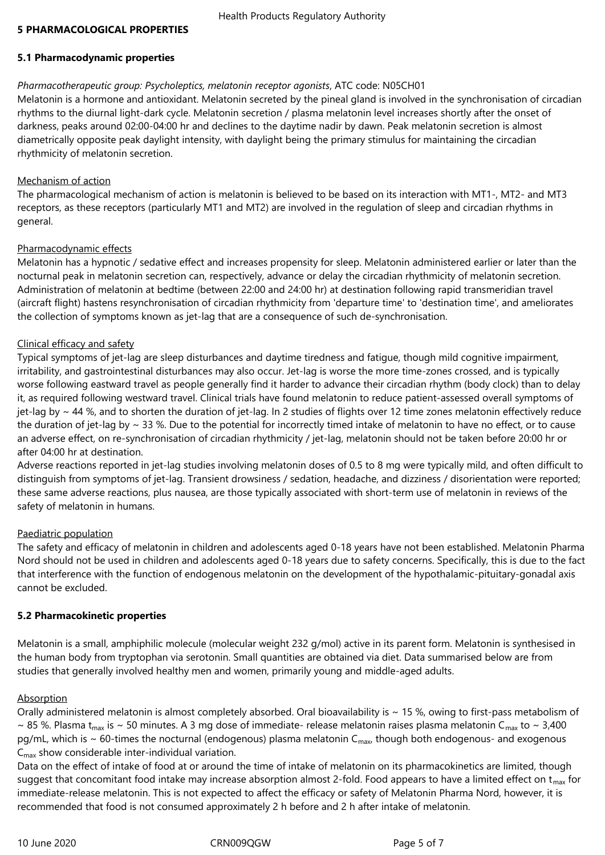#### **5 PHARMACOLOGICAL PROPERTIES**

## **5.1 Pharmacodynamic properties**

## *Pharmacotherapeutic group: Psycholeptics, melatonin receptor agonists*, ATC code: N05CH01

Melatonin is a hormone and antioxidant. Melatonin secreted by the pineal gland is involved in the synchronisation of circadian rhythms to the diurnal light-dark cycle. Melatonin secretion / plasma melatonin level increases shortly after the onset of darkness, peaks around 02:00‑04:00 hr and declines to the daytime nadir by dawn. Peak melatonin secretion is almost diametrically opposite peak daylight intensity, with daylight being the primary stimulus for maintaining the circadian rhythmicity of melatonin secretion.

#### Mechanism of action

The pharmacological mechanism of action is melatonin is believed to be based on its interaction with MT1-, MT2- and MT3 receptors, as these receptors (particularly MT1 and MT2) are involved in the regulation of sleep and circadian rhythms in general.

## Pharmacodynamic effects

Melatonin has a hypnotic / sedative effect and increases propensity for sleep. Melatonin administered earlier or later than the nocturnal peak in melatonin secretion can, respectively, advance or delay the circadian rhythmicity of melatonin secretion. Administration of melatonin at bedtime (between 22:00 and 24:00 hr) at destination following rapid transmeridian travel (aircraft flight) hastens resynchronisation of circadian rhythmicity from 'departure time' to 'destination time', and ameliorates the collection of symptoms known as jet-lag that are a consequence of such de-synchronisation.

## Clinical efficacy and safety

Typical symptoms of jet-lag are sleep disturbances and daytime tiredness and fatigue, though mild cognitive impairment, irritability, and gastrointestinal disturbances may also occur. Jet-lag is worse the more time-zones crossed, and is typically worse following eastward travel as people generally find it harder to advance their circadian rhythm (body clock) than to delay it, as required following westward travel. Clinical trials have found melatonin to reduce patient-assessed overall symptoms of jet-lag by ~ 44 %, and to shorten the duration of jet-lag. In 2 studies of flights over 12 time zones melatonin effectively reduce the duration of jet-lag by  $\sim$  33 %. Due to the potential for incorrectly timed intake of melatonin to have no effect, or to cause an adverse effect, on re-synchronisation of circadian rhythmicity / jet-lag, melatonin should not be taken before 20:00 hr or after 04:00 hr at destination.

Adverse reactions reported in jet-lag studies involving melatonin doses of 0.5 to 8 mg were typically mild, and often difficult to distinguish from symptoms of jet-lag. Transient drowsiness / sedation, headache, and dizziness / disorientation were reported; these same adverse reactions, plus nausea, are those typically associated with short-term use of melatonin in reviews of the safety of melatonin in humans.

## Paediatric population

The safety and efficacy of melatonin in children and adolescents aged 0-18 years have not been established. Melatonin Pharma Nord should not be used in children and adolescents aged 0-18 years due to safety concerns. Specifically, this is due to the fact that interference with the function of endogenous melatonin on the development of the hypothalamic-pituitary-gonadal axis cannot be excluded.

#### **5.2 Pharmacokinetic properties**

Melatonin is a small, amphiphilic molecule (molecular weight 232 g/mol) active in its parent form. Melatonin is synthesised in the human body from tryptophan via serotonin. Small quantities are obtained via diet. Data summarised below are from studies that generally involved healthy men and women, primarily young and middle-aged adults.

#### Absorption

Orally administered melatonin is almost completely absorbed. Oral bioavailability is  $\sim$  15 %, owing to first-pass metabolism of ~ 85 %. Plasma t<sub>max</sub> is ~ 50 minutes. A 3 mg dose of immediate- release melatonin raises plasma melatonin C<sub>max</sub> to ~ 3,400 pg/mL, which is  $\sim$  60-times the nocturnal (endogenous) plasma melatonin C<sub>max</sub>, though both endogenous- and exogenous  $C_{\text{max}}$  show considerable inter-individual variation.

Data on the effect of intake of food at or around the time of intake of melatonin on its pharmacokinetics are limited, though suggest that concomitant food intake may increase absorption almost 2-fold. Food appears to have a limited effect on  $t_{max}$  for immediate-release melatonin. This is not expected to affect the efficacy or safety of Melatonin Pharma Nord, however, it is recommended that food is not consumed approximately 2 h before and 2 h after intake of melatonin.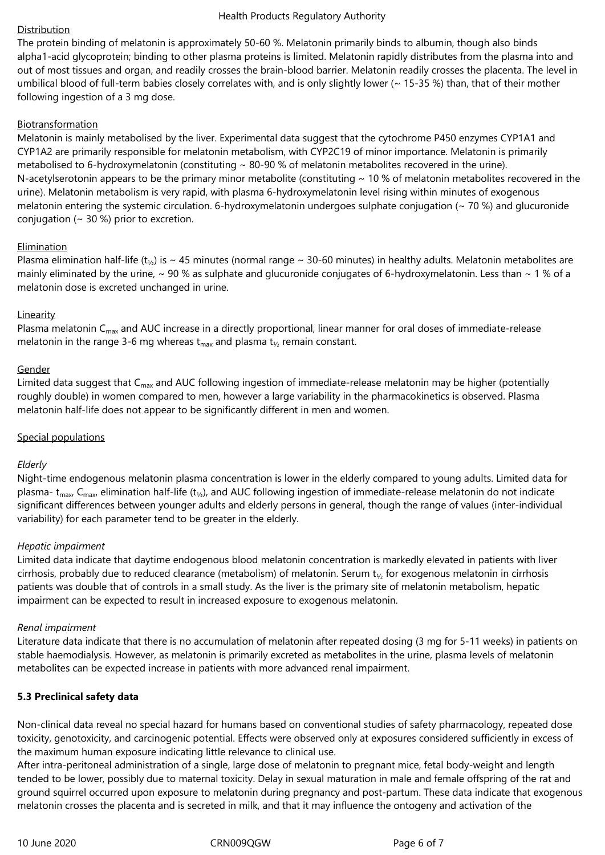## Distribution

The protein binding of melatonin is approximately 50-60 %. Melatonin primarily binds to albumin, though also binds alpha1-acid glycoprotein; binding to other plasma proteins is limited. Melatonin rapidly distributes from the plasma into and out of most tissues and organ, and readily crosses the brain-blood barrier. Melatonin readily crosses the placenta. The level in umbilical blood of full-term babies closely correlates with, and is only slightly lower (~ 15-35 %) than, that of their mother following ingestion of a 3 mg dose.

## **Biotransformation**

Melatonin is mainly metabolised by the liver. Experimental data suggest that the cytochrome P450 enzymes CYP1A1 and CYP1A2 are primarily responsible for melatonin metabolism, with CYP2C19 of minor importance. Melatonin is primarily metabolised to 6-hydroxymelatonin (constituting  $\sim$  80-90 % of melatonin metabolites recovered in the urine). N-acetylserotonin appears to be the primary minor metabolite (constituting  $\sim$  10 % of melatonin metabolites recovered in the urine). Melatonin metabolism is very rapid, with plasma 6-hydroxymelatonin level rising within minutes of exogenous melatonin entering the systemic circulation. 6-hydroxymelatonin undergoes sulphate conjugation ( $\sim$  70 %) and glucuronide conjugation ( $\sim$  30 %) prior to excretion.

## Elimination

Plasma elimination half-life (t<sub>1/2</sub>) is ~ 45 minutes (normal range ~ 30-60 minutes) in healthy adults. Melatonin metabolites are mainly eliminated by the urine,  $\sim$  90 % as sulphate and glucuronide conjugates of 6-hydroxymelatonin. Less than  $\sim$  1 % of a melatonin dose is excreted unchanged in urine.

## Linearity

Plasma melatonin C<sub>max</sub> and AUC increase in a directly proportional, linear manner for oral doses of immediate-release melatonin in the range 3-6 mg whereas  $t_{max}$  and plasma  $t_{1/2}$  remain constant.

## Gender

Limited data suggest that C<sub>max</sub> and AUC following ingestion of immediate-release melatonin may be higher (potentially roughly double) in women compared to men, however a large variability in the pharmacokinetics is observed. Plasma melatonin half-life does not appear to be significantly different in men and women.

## Special populations

## *Elderly*

Night-time endogenous melatonin plasma concentration is lower in the elderly compared to young adults. Limited data for plasma-  $t_{max}$ ,  $C_{max}$ , elimination half-life ( $t_{1/2}$ ), and AUC following ingestion of immediate-release melatonin do not indicate significant differences between younger adults and elderly persons in general, though the range of values (inter-individual variability) for each parameter tend to be greater in the elderly.

## *Hepatic impairment*

Limited data indicate that daytime endogenous blood melatonin concentration is markedly elevated in patients with liver cirrhosis, probably due to reduced clearance (metabolism) of melatonin. Serum  $t_{\gamma}$  for exogenous melatonin in cirrhosis patients was double that of controls in a small study. As the liver is the primary site of melatonin metabolism, hepatic impairment can be expected to result in increased exposure to exogenous melatonin.

#### *Renal impairment*

Literature data indicate that there is no accumulation of melatonin after repeated dosing (3 mg for 5-11 weeks) in patients on stable haemodialysis. However, as melatonin is primarily excreted as metabolites in the urine, plasma levels of melatonin metabolites can be expected increase in patients with more advanced renal impairment.

## **5.3 Preclinical safety data**

Non-clinical data reveal no special hazard for humans based on conventional studies of safety pharmacology, repeated dose toxicity, genotoxicity, and carcinogenic potential. Effects were observed only at exposures considered sufficiently in excess of the maximum human exposure indicating little relevance to clinical use.

After intra-peritoneal administration of a single, large dose of melatonin to pregnant mice, fetal body-weight and length tended to be lower, possibly due to maternal toxicity. Delay in sexual maturation in male and female offspring of the rat and ground squirrel occurred upon exposure to melatonin during pregnancy and post-partum. These data indicate that exogenous melatonin crosses the placenta and is secreted in milk, and that it may influence the ontogeny and activation of the